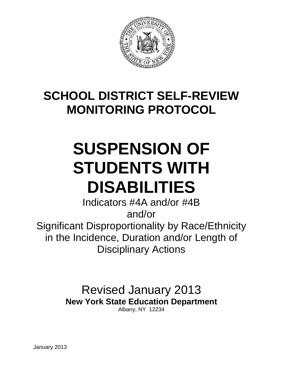

## **SCHOOL DISTRICT SELF-REVIEW MONITORING PROTOCOL**

# **SUSPENSION OF STUDENTS WITH DISABILITIES**

Indicators #4A and/or #4B and/or Significant Disproportionality by Race/Ethnicity in the Incidence, Duration and/or Length of Disciplinary Actions

> Revised January 2013 **New York State Education Department**

Albany, NY 12234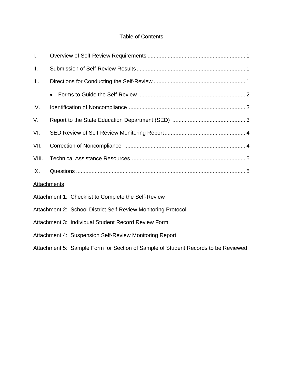## Table of Contents

| I.    |                                                                                   |  |
|-------|-----------------------------------------------------------------------------------|--|
| ΙΙ.   |                                                                                   |  |
| III.  |                                                                                   |  |
|       |                                                                                   |  |
| IV.   |                                                                                   |  |
| V.    |                                                                                   |  |
| VI.   |                                                                                   |  |
| VII.  |                                                                                   |  |
| VIII. |                                                                                   |  |
| IX.   |                                                                                   |  |
|       | <b>Attachments</b>                                                                |  |
|       | Attachment 1: Checklist to Complete the Self-Review                               |  |
|       | Attachment 2: School District Self-Review Monitoring Protocol                     |  |
|       | Attachment 3: Individual Student Record Review Form                               |  |
|       | Attachment 4: Suspension Self-Review Monitoring Report                            |  |
|       | Attachment 5: Sample Form for Section of Sample of Student Records to be Reviewed |  |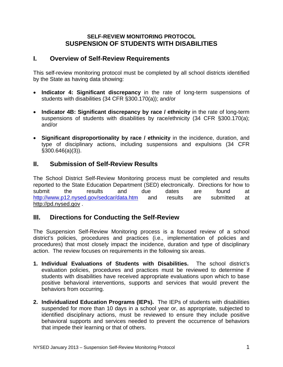## **SELF-REVIEW MONITORING PROTOCOL SUSPENSION OF STUDENTS WITH DISABILITIES**

## **I. Overview of Self-Review Requirements**

This self-review monitoring protocol must be completed by all school districts identified by the State as having data showing:

- • **Indicator 4: Significant discrepancy** in the rate of long-term suspensions of students with disabilities (34 CFR §300.170(a)); and/or
- Indicator 4B: Significant discrepancy by race / ethnicity in the rate of long-term suspensions of students with disabilities by race/ethnicity (34 CFR §300.170(a); and/or
- • **Significant disproportionality by race / ethnicity** in the incidence, duration, and type of disciplinary actions, including suspensions and expulsions (34 CFR §300.646(a)(3)).

## **II. Submission of Self-Review Results**

The School District Self-Review Monitoring process must be completed and results reported to the State Education Department (SED) electronically. Directions for how to submit the results and due dates are found at http://www.p12.nysed.gov/sedcar/data.htm and results are submitted at http://pd.nysed.gov .

## **III. Directions for Conducting the Self-Review**

The Suspension Self-Review Monitoring process is a focused review of a school district's policies, procedures and practices (i.e., implementation of policies and procedures) that most closely impact the incidence, duration and type of disciplinary action. The review focuses on requirements in the following six areas.

- **1. Individual Evaluations of Students with Disabilities.** The school district's evaluation policies, procedures and practices must be reviewed to determine if students with disabilities have received appropriate evaluations upon which to base positive behavioral interventions, supports and services that would prevent the behaviors from occurring.
- **2. Individualized Education Programs (IEPs).** The IEPs of students with disabilities suspended for more than 10 days in a school year or, as appropriate, subjected to identified disciplinary actions, must be reviewed to ensure they include positive behavioral supports and services needed to prevent the occurrence of behaviors that impede their learning or that of others.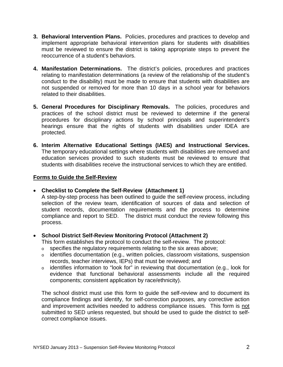- **3. Behavioral Intervention Plans.** Policies, procedures and practices to develop and implement appropriate behavioral intervention plans for students with disabilities must be reviewed to ensure the district is taking appropriate steps to prevent the reoccurrence of a student's behaviors.
- **4. Manifestation Determinations.** The district's policies, procedures and practices relating to manifestation determinations (a review of the relationship of the student's conduct to the disability) must be made to ensure that students with disabilities are not suspended or removed for more than 10 days in a school year for behaviors related to their disabilities.
- **5. General Procedures for Disciplinary Removals.** The policies, procedures and practices of the school district must be reviewed to determine if the general procedures for disciplinary actions by school principals and superintendent's hearings ensure that the rights of students with disabilities under IDEA are protected.
- **6. Interim Alternative Educational Settings (IAES) and Instructional Services.** The temporary educational settings where students with disabilities are removed and education services provided to such students must be reviewed to ensure that students with disabilities receive the instructional services to which they are entitled.

#### **Forms to Guide the Self-Review**

• **Checklist to Complete the Self-Review (Attachment 1)** 

A step-by-step process has been outlined to guide the self-review process, including selection of the review team, identification of sources of data and selection of student records, documentation requirements and the process to determine compliance and report to SED. The district must conduct the review following this process.

#### • **School District Self-Review Monitoring Protocol (Attachment 2)**

This form establishes the protocol to conduct the self-review. The protocol:

- $\circ$  specifies the regulatory requirements relating to the six areas above;
- o identifies documentation (e.g., written policies, classroom visitations, suspension records, teacher interviews, IEPs) that must be reviewed; and
- $\circ$  identifies information to "look for" in reviewing that documentation (e.g., look for evidence that functional behavioral assessments include all the required components; consistent application by race/ethnicity).

The school district must use this form to guide the self-review and to document its compliance findings and identify, for self-correction purposes, any corrective action and improvement activities needed to address compliance issues. This form is not submitted to SED unless requested, but should be used to guide the district to selfcorrect compliance issues.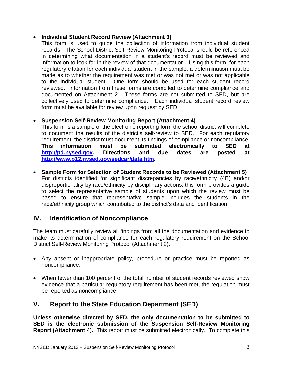#### • **Individual Student Record Review (Attachment 3)**

This form is used to guide the collection of information from individual student records. The School District Self-Review Monitoring Protocol should be referenced in determining what documentation in a student's record must be reviewed and information to look for in the review of that documentation. Using this form, for each regulatory citation for each individual student in the sample, a determination must be made as to whether the requirement was met or was not met or was not applicable to the individual student. One form should be used for each student record reviewed. Information from these forms are compiled to determine compliance and documented on Attachment 2. These forms are not submitted to SED, but are collectively used to determine compliance. Each individual student record review form must be available for review upon request by SED.

## • **Suspension Self-Review Monitoring Report (Attachment 4)**

This form is a sample of the electronic reporting form the school district will complete to document the results of the district's self-review to SED. For each regulatory requirement, the district must document its findings of compliance or noncompliance. **This information must be submitted electronically to SED at http://pd.nysed.gov. Directions and due dates are posted at http://www.p12.nysed.gov/sedcar/data.htm.** 

• **Sample Form for Selection of Student Records to be Reviewed (Attachment 5)**  For districts identified for significant discrepancies by race/ethnicity (4B) and/or disproportionality by race/ethnicity by disciplinary actions, this form provides a guide to select the representative sample of students upon which the review must be based to ensure that representative sample includes the students in the race/ethnicity group which contributed to the district's data and identification.

## **IV. Identification of Noncompliance**

The team must carefully review all findings from all the documentation and evidence to make its determination of compliance for each regulatory requirement on the School District Self-Review Monitoring Protocol (Attachment 2).

- Any absent or inappropriate policy, procedure or practice must be reported as noncompliance.
- When fewer than 100 percent of the total number of student records reviewed show evidence that a particular regulatory requirement has been met, the regulation must be reported as noncompliance.

## **V. Report to the State Education Department (SED)**

**Unless otherwise directed by SED, the only documentation to be submitted to SED is the electronic submission of the Suspension Self-Review Monitoring Report (Attachment 4).** This report must be submitted electronically. To complete this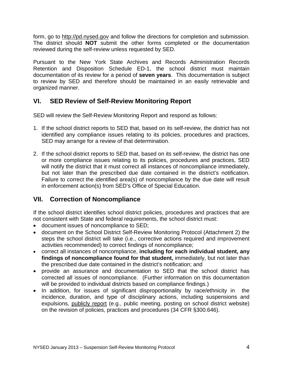form, go to http://pd.nysed.gov and follow the directions for completion and submission. The district should **NOT** submit the other forms completed or the documentation reviewed during the self-review unless requested by SED.

Pursuant to the New York State Archives and Records Administration Records Retention and Disposition Schedule ED-1, the school district must maintain documentation of its review for a period of **seven years**. This documentation is subject to review by SED and therefore should be maintained in an easily retrievable and organized manner.

## **VI. SED Review of Self-Review Monitoring Report**

SED will review the Self-Review Monitoring Report and respond as follows:

- 1. If the school district reports to SED that, based on its self-review, the district has not identified any compliance issues relating to its policies, procedures and practices, SED may arrange for a review of that determination.
- 2. If the school district reports to SED that, based on its self-review, the district has one or more compliance issues relating to its policies, procedures and practices, SED will notify the district that it must correct all instances of noncompliance immediately, but not later than the prescribed due date contained in the district's notification. Failure to correct the identified area(s) of noncompliance by the due date will result in enforcement action(s) from SED's Office of Special Education.

## **VII. Correction of Noncompliance**

If the school district identifies school district policies, procedures and practices that are not consistent with State and federal requirements, the school district must:

- document issues of noncompliance to SED;
- document on the School District Self-Review Monitoring Protocol (Attachment 2) the steps the school district will take (i.e., corrective actions required and improvement activities recommended) to correct findings of noncompliance;
- the prescribed due date contained in the district's notification; and • correct all instances of noncompliance, **including for each individual student, any findings of noncompliance found for that student,** immediately, but not later than
- provide an assurance and documentation to SED that the school district has corrected all issues of noncompliance. (Further information on this documentation will be provided to individual districts based on compliance findings.)
- In addition, for issues of significant disproportionality by race/ethnicity in the incidence, duration, and type of disciplinary actions, including suspensions and expulsions, publicly report (e.g., public meeting, posting on school district website) on the revision of policies, practices and procedures (34 CFR §300.646).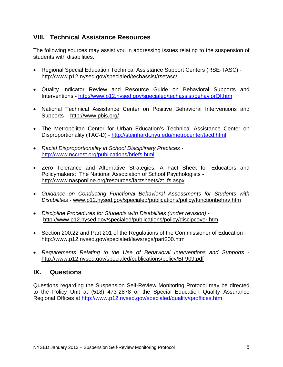## **VIII. Technical Assistance Resources**

The following sources may assist you in addressing issues relating to the suspension of students with disabilities.

- Regional Special Education Technical Assistance Support Centers (RSE-TASC) http://www.p12.nysed.gov/specialed/techassist/rsetasc/
- • Quality Indicator Review and Resource Guide on Behavioral Supports and Interventions - http://www.p12.nysed.gov/specialed/techassist/behaviorQI.htm
- National Technical Assistance Center on Positive Behavioral Interventions and Supports - http://www.pbis.org/
- The Metropolitan Center for Urban Education's Technical Assistance Center on Disproportionality (TAC-D) - http://steinhardt.nyu.edu/metrocenter/tacd.html
- • *Racial Disproportionality in School Disciplinary Practices*  http://www.nccrest.org/publications/briefs.html
- Zero Tolerance and Alternative Strategies: A Fact Sheet for Educators and Policymakers: The National Association of School Psychologists http://www.nasponline.org/resources/factsheets/zt\_fs.aspx
- • *Guidance on Conducting Functional Behavioral Assessments for Students with Disabilities -* www.p12.nysed.gov/specialed/publications/policy/functionbehav.htm
- http://www.p12.nysed.gov/specialed/publications/policy/discipcover.htm • *Discipline Procedures for Students with Disabilities (under revision) -*
- Section 200.22 and Part 201 of the Regulations of the Commissioner of Education http://www.p12.nysed.gov/specialed/lawsregs/part200.htm
- • *Requirements Relating to the Use of Behavioral Interventions and Supports* http://www.p12.nysed.gov/specialed/publications/policy/BI-909.pdf

## **IX. Questions**

Questions regarding the Suspension Self-Review Monitoring Protocol may be directed to the Policy Unit at (518) 473-2878 or the Special Education Quality Assurance Regional Offices at http://www.p12.nysed.gov/specialed/quality/qaoffices.htm.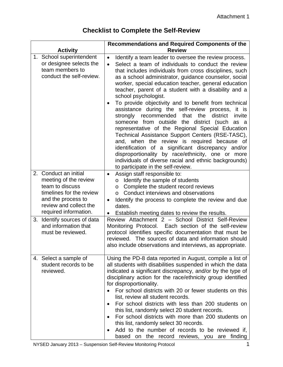## **Checklist to Complete the Self-Review**

| <b>Activity</b>                                                                                                                                                        | <b>Recommendations and Required Components of the</b><br><b>Review</b>                                                                                                                                                                                                                                                                                                                                                                                                                                                                                                                                                                                                                                                                                                                                                                                                                                                                                                                                     |
|------------------------------------------------------------------------------------------------------------------------------------------------------------------------|------------------------------------------------------------------------------------------------------------------------------------------------------------------------------------------------------------------------------------------------------------------------------------------------------------------------------------------------------------------------------------------------------------------------------------------------------------------------------------------------------------------------------------------------------------------------------------------------------------------------------------------------------------------------------------------------------------------------------------------------------------------------------------------------------------------------------------------------------------------------------------------------------------------------------------------------------------------------------------------------------------|
| 1. School superintendent<br>or designee selects the<br>team members to<br>conduct the self-review.                                                                     | Identify a team leader to oversee the review process.<br>$\bullet$<br>Select a team of individuals to conduct the review<br>$\bullet$<br>that includes individuals from cross disciplines, such<br>as a school administrator, guidance counselor, social<br>worker, special education teacher, general education<br>teacher, parent of a student with a disability and a<br>school psychologist.<br>To provide objectivity and to benefit from technical<br>$\bullet$<br>assistance during the self-review process, it is<br>recommended<br>that<br>district<br>strongly<br>the<br>invite<br>someone from outside the district (such as a<br>representative of the Regional Special Education<br>Technical Assistance Support Centers (RSE-TASC),<br>and, when the review is required because of<br>identification of a significant discrepancy and/or<br>disproportionality by race/ethnicity, one or more<br>individuals of diverse racial and ethnic backgrounds)<br>to participate in the self-review. |
| 2. Conduct an initial<br>meeting of the review<br>team to discuss<br>timelines for the review<br>and the process to<br>review and collect the<br>required information. | Assign staff responsible to:<br>$\bullet$<br>Identify the sample of students<br>O<br>Complete the student record reviews<br>$\circ$<br>Conduct interviews and observations<br>$\Omega$<br>Identify the process to complete the review and due<br>$\bullet$<br>dates.<br>Establish meeting dates to review the results.                                                                                                                                                                                                                                                                                                                                                                                                                                                                                                                                                                                                                                                                                     |
| Identify sources of data<br>3.<br>and information that<br>must be reviewed.                                                                                            | Review Attachment 2 - School District Self-Review<br>Monitoring Protocol. Each section of the self-review<br>protocol identifies specific documentation that must be<br>reviewed. The sources of data and information should<br>also include observations and interviews, as appropriate.                                                                                                                                                                                                                                                                                                                                                                                                                                                                                                                                                                                                                                                                                                                  |
| 4. Select a sample of<br>student records to be<br>reviewed.                                                                                                            | Using the PD-8 data reported in August, compile a list of<br>all students with disabilities suspended in which the data<br>indicated a significant discrepancy, and/or by the type of<br>disciplinary action for the race/ethnicity group identified<br>for disproportionality.<br>For school districts with 20 or fewer students on this<br>list, review all student records.<br>For school districts with less than 200 students on<br>$\bullet$<br>this list, randomly select 20 student records.<br>For school districts with more than 200 students on<br>$\bullet$<br>this list, randomly select 30 records.<br>Add to the number of records to be reviewed if,<br>based on the record reviews, you are finding                                                                                                                                                                                                                                                                                      |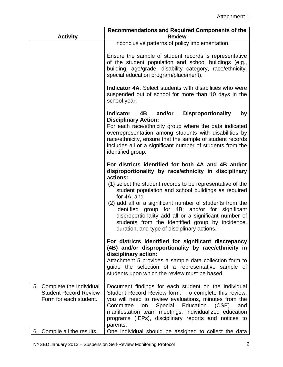| <b>Activity</b>                                                                      | <b>Recommendations and Required Components of the</b><br><b>Review</b>                                                                                                                                                                                                                                                                                                                                                                                                                                                                |  |  |
|--------------------------------------------------------------------------------------|---------------------------------------------------------------------------------------------------------------------------------------------------------------------------------------------------------------------------------------------------------------------------------------------------------------------------------------------------------------------------------------------------------------------------------------------------------------------------------------------------------------------------------------|--|--|
|                                                                                      | inconclusive patterns of policy implementation.                                                                                                                                                                                                                                                                                                                                                                                                                                                                                       |  |  |
|                                                                                      | Ensure the sample of student records is representative<br>of the student population and school buildings (e.g.,<br>building, age/grade, disability category, race/ethnicity,<br>special education program/placement).                                                                                                                                                                                                                                                                                                                 |  |  |
|                                                                                      | <b>Indicator 4A:</b> Select students with disabilities who were<br>suspended out of school for more than 10 days in the<br>school year.                                                                                                                                                                                                                                                                                                                                                                                               |  |  |
|                                                                                      | <b>Indicator</b><br>4B<br>and/or<br><b>Disproportionality</b><br>by<br><b>Disciplinary Action:</b><br>For each race/ethnicity group where the data indicated<br>overrepresentation among students with disabilities by<br>race/ethnicity, ensure that the sample of student records<br>includes all or a significant number of students from the<br>identified group.                                                                                                                                                                 |  |  |
|                                                                                      | For districts identified for both 4A and 4B and/or<br>disproportionality by race/ethnicity in disciplinary<br>actions:<br>(1) select the student records to be representative of the<br>student population and school buildings as required<br>for 4A; and<br>(2) add all or a significant number of students from the<br>identified group for 4B; and/or for significant<br>disproportionality add all or a significant number of<br>students from the identified group by incidence,<br>duration, and type of disciplinary actions. |  |  |
|                                                                                      | For districts identified for significant discrepancy<br>(4B) and/or disproportionality by race/ethnicity in<br>disciplinary action:<br>Attachment 5 provides a sample data collection form to<br>guide the selection of a representative sample of<br>students upon which the review must be based.                                                                                                                                                                                                                                   |  |  |
| 5. Complete the Individual<br><b>Student Record Review</b><br>Form for each student. | Document findings for each student on the Individual<br>Student Record Review form. To complete this review,<br>you will need to review evaluations, minutes from the<br>Committee<br>Special<br>Education<br>(CSE)<br>on<br>and<br>manifestation team meetings, individualized education<br>programs (IEPs), disciplinary reports and notices to<br>parents.                                                                                                                                                                         |  |  |
| 6. Compile all the results.                                                          | One individual should be assigned to collect the data                                                                                                                                                                                                                                                                                                                                                                                                                                                                                 |  |  |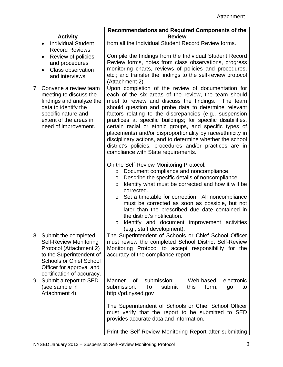| <b>Activity</b>                                                                                                                                                                                             | Recommendations and Required Components of the<br><b>Review</b>                                                                                                                                                                                                                                                                                                                                                                                                                                                                                                                                                                          |
|-------------------------------------------------------------------------------------------------------------------------------------------------------------------------------------------------------------|------------------------------------------------------------------------------------------------------------------------------------------------------------------------------------------------------------------------------------------------------------------------------------------------------------------------------------------------------------------------------------------------------------------------------------------------------------------------------------------------------------------------------------------------------------------------------------------------------------------------------------------|
| <b>Individual Student</b><br>$\bullet$<br><b>Record Reviews</b>                                                                                                                                             | from all the Individual Student Record Review forms.                                                                                                                                                                                                                                                                                                                                                                                                                                                                                                                                                                                     |
| Review of policies<br>$\bullet$                                                                                                                                                                             | Compile the findings from the Individual Student Record                                                                                                                                                                                                                                                                                                                                                                                                                                                                                                                                                                                  |
| and procedures                                                                                                                                                                                              | Review forms, notes from class observations, progress<br>monitoring charts, reviews of policies and procedures,                                                                                                                                                                                                                                                                                                                                                                                                                                                                                                                          |
| <b>Class observation</b><br>and interviews                                                                                                                                                                  | etc.; and transfer the findings to the self-review protocol                                                                                                                                                                                                                                                                                                                                                                                                                                                                                                                                                                              |
|                                                                                                                                                                                                             | (Attachment 2).                                                                                                                                                                                                                                                                                                                                                                                                                                                                                                                                                                                                                          |
| 7. Convene a review team<br>meeting to discuss the<br>findings and analyze the<br>data to identify the<br>specific nature and<br>extent of the areas in<br>need of improvement.                             | Upon completion of the review of documentation for<br>each of the six areas of the review, the team should<br>meet to review and discuss the findings. The team<br>should question and probe data to determine relevant<br>factors relating to the discrepancies (e.g., suspension<br>practices at specific buildings; for specific disabilities,<br>certain racial or ethnic groups, and specific types of<br>placements) and/or disproportionality by race/ethnicity in<br>disciplinary actions, and to determine whether the school<br>district's policies, procedures and/or practices are in<br>compliance with State requirements. |
|                                                                                                                                                                                                             | On the Self-Review Monitoring Protocol:<br>Document compliance and noncompliance.<br>$\circ$<br>Describe the specific details of noncompliance.<br>$\circ$<br>Identify what must be corrected and how it will be<br>$\circ$<br>corrected.<br>Set a timetable for correction. All noncompliance<br>$\circ$<br>must be corrected as soon as possible, but not<br>later than the prescribed due date contained in<br>the district's notification.<br>Identify and document improvement activities<br>$\circ$<br>(e.g., staff development).                                                                                                  |
| 8. Submit the completed<br><b>Self-Review Monitoring</b><br>Protocol (Attachment 2)<br>to the Superintendent of<br><b>Schools or Chief School</b><br>Officer for approval and<br>certification of accuracy. | The Superintendent of Schools or Chief School Officer<br>must review the completed School District Self-Review<br>Monitoring Protocol to accept responsibility for the<br>accuracy of the compliance report.                                                                                                                                                                                                                                                                                                                                                                                                                             |
| Submit a report to SED<br>9.                                                                                                                                                                                | <b>of</b><br>submission:<br><b>Manner</b><br>Web-based<br>electronic                                                                                                                                                                                                                                                                                                                                                                                                                                                                                                                                                                     |
| (see sample in<br>Attachment 4).                                                                                                                                                                            | submission.<br>To<br>submit<br>this<br>form,<br>go<br>to<br>http://pd.nysed.gov                                                                                                                                                                                                                                                                                                                                                                                                                                                                                                                                                          |
|                                                                                                                                                                                                             | The Superintendent of Schools or Chief School Officer<br>must verify that the report to be submitted to SED<br>provides accurate data and information.                                                                                                                                                                                                                                                                                                                                                                                                                                                                                   |
|                                                                                                                                                                                                             | Print the Self-Review Monitoring Report after submitting                                                                                                                                                                                                                                                                                                                                                                                                                                                                                                                                                                                 |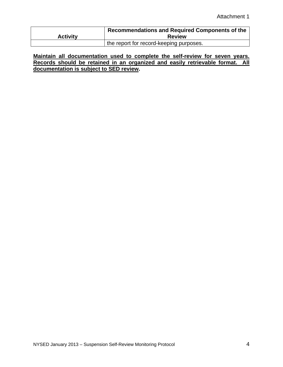| <b>Activity</b> | Recommendations and Required Components of the<br><b>Review</b> |
|-----------------|-----------------------------------------------------------------|
|                 | the report for record-keeping purposes.                         |

**Maintain all documentation used to complete the self-review for seven years. Records should be retained in an organized and easily retrievable format. All documentation is subject to SED review.**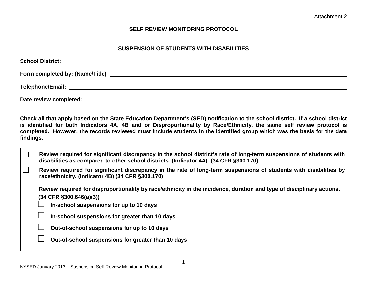#### **SELF REVIEW MONITORING PROTOCOL**

#### **SUSPENSION OF STUDENTS WITH DISABILITIES**

<span id="page-11-0"></span>

| Date review completed: |  |
|------------------------|--|

**Check all that apply based on the State Education Department's (SED) notification to the school district. If a school district is identified for both Indicators 4A, 4B and or Disproportionality by Race/Ethnicity, the same self review protocol is completed. However, the records reviewed must include students in the identified group which was the basis for the data findings.** 

| Review required for significant discrepancy in the school district's rate of long-term suspensions of students with<br>disabilities as compared to other school districts. (Indicator 4A) (34 CFR §300.170)                                                                                    |
|------------------------------------------------------------------------------------------------------------------------------------------------------------------------------------------------------------------------------------------------------------------------------------------------|
| Review required for significant discrepancy in the rate of long-term suspensions of students with disabilities by<br>race/ethnicity. (Indicator 4B) (34 CFR §300.170)                                                                                                                          |
| Review required for disproportionality by race/ethnicity in the incidence, duration and type of disciplinary actions.<br>$(34$ CFR §300.646(a)(3))<br>In-school suspensions for up to 10 days<br>In-school suspensions for greater than 10 days<br>Out-of-school suspensions for up to 10 days |
| Out-of-school suspensions for greater than 10 days                                                                                                                                                                                                                                             |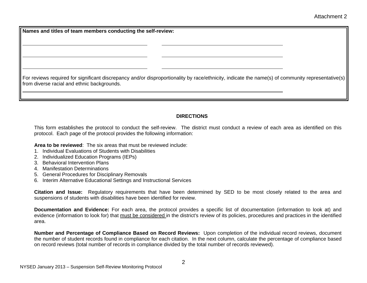<span id="page-12-0"></span>**Names and titles of team members conducting the self-review:** 

For reviews required for significant discrepancy and/or disproportionality by race/ethnicity, indicate the name(s) of community representative(s) from diverse racial and ethnic backgrounds.

#### **DIRECTIONS**

This form establishes the protocol to conduct the self-review. The district must conduct a review of each area as identified on this protocol. Each page of the protocol provides the following information:

**Area to be reviewed**: The six areas that must be reviewed include:

- 1. Individual Evaluations of Students with Disabilities
- 2. Individualized Education Programs (IEPs)
- 3. Behavioral Intervention Plans
- 4. Manifestation Determinations
- 5. General Procedures for Disciplinary Removals
- 6. Interim Alternative Educational Settings and Instructional Services

**Citation and Issue:** Regulatory requirements that have been determined by SED to be most closely related to the area and suspensions of students with disabilities have been identified for review.

**Documentation and Evidence:** For each area, the protocol provides a specific list of documentation (information to look at) and evidence (information to look for) that must be considered in the district's review of its policies, procedures and practices in the identified area.

**Number and Percentage of Compliance Based on Record Reviews:** Upon completion of the individual record reviews, document the number of student records found in compliance for each citation. In the next column, calculate the percentage of compliance based on record reviews (total number of records in compliance divided by the total number of records reviewed).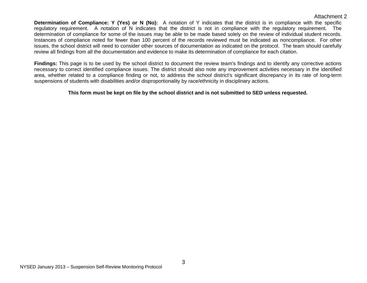#### Attachment 2

<span id="page-13-0"></span>**Determination of Compliance: Y (Yes) or N (No):** A notation of Y indicates that the district is in compliance with the specific regulatory requirement. A notation of N indicates that the district is not in compliance with the regulatory requirement. The determination of compliance for some of the issues may be able to be made based solely on the review of individual student records. Instances of compliance noted for fewer than 100 percent of the records reviewed must be indicated as noncompliance. For other issues, the school district will need to consider other sources of documentation as indicated on the protocol. The team should carefully review all findings from all the documentation and evidence to make its determination of compliance for each citation.

**Findings:** This page is to be used by the school district to document the review team's findings and to identify any corrective actions necessary to correct identified compliance issues. The district should also note any improvement activities necessary in the identified area, whether related to a compliance finding or not, to address the school district's significant discrepancy in its rate of long-term suspensions of students with disabilities and/or disproportionality by race/ethnicity in disciplinary actions.

#### **This form must be kept on file by the school district and is not submitted to SED unless requested.**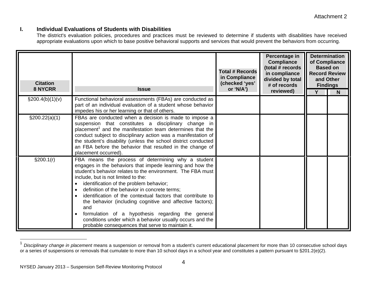#### **I. Individual Evaluations of Students with Disabilities**

The district's evaluation policies, procedures and practices must be reviewed to determine if students with disabilities have received appropriate evaluations upon which to base positive behavioral supports and services that would prevent the behaviors from occurring.

| <b>Citation</b><br><b>8 NYCRR</b> | <b>Issue</b>                                                                                                                                                                                                                                                                                                                                                                                                                                                                                                                                                                                                                                                     | <b>Total # Records</b><br>in Compliance<br>(checked 'yes'<br>or 'N/A') | Percentage in<br><b>Compliance</b><br>(total # records<br>in compliance<br>divided by total<br># of records<br>reviewed) | <b>Based on</b><br>and Other<br><b>Findings</b> | <b>Determination</b><br>of Compliance<br><b>Record Review</b><br>N |
|-----------------------------------|------------------------------------------------------------------------------------------------------------------------------------------------------------------------------------------------------------------------------------------------------------------------------------------------------------------------------------------------------------------------------------------------------------------------------------------------------------------------------------------------------------------------------------------------------------------------------------------------------------------------------------------------------------------|------------------------------------------------------------------------|--------------------------------------------------------------------------------------------------------------------------|-------------------------------------------------|--------------------------------------------------------------------|
| $\S 200.4(b)(1)(v)$               | Functional behavioral assessments (FBAs) are conducted as<br>part of an individual evaluation of a student whose behavior<br>impedes his or her learning or that of others.                                                                                                                                                                                                                                                                                                                                                                                                                                                                                      |                                                                        |                                                                                                                          |                                                 |                                                                    |
| \$200.22(a)(1)                    | FBAs are conducted when a decision is made to impose a<br>suspension that constitutes a disciplinary change in<br>placement <sup>1</sup> and the manifestation team determines that the<br>conduct subject to disciplinary action was a manifestation of<br>the student's disability (unless the school district conducted<br>an FBA before the behavior that resulted in the change of<br>placement occurred).                                                                                                                                                                                                                                                  |                                                                        |                                                                                                                          |                                                 |                                                                    |
| \$200.1(r)                        | FBA means the process of determining why a student<br>engages in the behaviors that impede learning and how the<br>student's behavior relates to the environment. The FBA must<br>include, but is not limited to the:<br>identification of the problem behavior;<br>$\bullet$<br>definition of the behavior in concrete terms;<br>$\bullet$<br>identification of the contextual factors that contribute to<br>$\bullet$<br>the behavior (including cognitive and affective factors);<br>and<br>formulation of a hypothesis regarding the general<br>conditions under which a behavior usually occurs and the<br>probable consequences that serve to maintain it. |                                                                        |                                                                                                                          |                                                 |                                                                    |

<sup>1</sup>*Disciplinary change in placement* means a suspension or removal from a student's current educational placement for more than 10 consecutive school days or a series of suspensions or removals that cumulate to more than 10 school days in a school year and constitutes a pattern pursuant to §201.2(e)(2).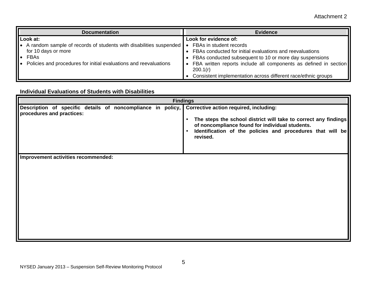| <b>Documentation</b>                                               | <b>Evidence</b>                                                    |  |  |  |
|--------------------------------------------------------------------|--------------------------------------------------------------------|--|--|--|
| Look at:                                                           | Look for evidence of:                                              |  |  |  |
| A random sample of records of students with disabilities suspended | FBAs in student records                                            |  |  |  |
| for 10 days or more                                                | • FBAs conducted for initial evaluations and reevaluations         |  |  |  |
| FBAs                                                               | • FBAs conducted subsequent to 10 or more day suspensions          |  |  |  |
| Policies and procedures for initial evaluations and reevaluations  | • FBA written reports include all components as defined in section |  |  |  |
|                                                                    | 200.1(r)                                                           |  |  |  |
|                                                                    | Consistent implementation across different race/ethnic groups      |  |  |  |

### **Individual Evaluations of Students with Disabilities**

|                                                                                                                                 | <b>Findings</b>                                                                                                                                                                                           |
|---------------------------------------------------------------------------------------------------------------------------------|-----------------------------------------------------------------------------------------------------------------------------------------------------------------------------------------------------------|
| Description of specific details of noncompliance in policy, Corrective action required, including:<br>procedures and practices: | The steps the school district will take to correct any findings<br>of noncompliance found for individual students.<br>Identification of the policies and procedures that will be<br>$\bullet$<br>revised. |
| Improvement activities recommended:                                                                                             |                                                                                                                                                                                                           |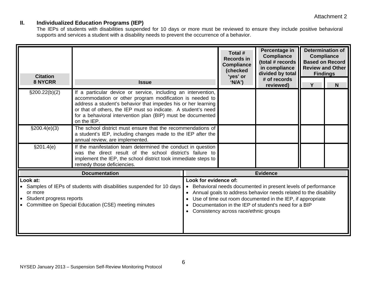## **II. Individualized Education Programs (IEP)**

The IEPs of students with disabilities suspended for 10 days or more must be reviewed to ensure they include positive behavioral supports and services a student with a disability needs to prevent the occurrence of a behavior.

| <b>Citation</b>                                                                                                                                                                      |                                                                                                                                                                                                                                                                                                                                           | Total #<br><b>Records in</b><br><b>Compliance</b><br>(checked<br>'yes' or | Percentage in<br><b>Compliance</b><br>(total # records<br>in compliance<br>divided by total                                                                                                                                                                                                                              | <b>Determination of</b><br><b>Compliance</b><br><b>Based on Record</b><br><b>Review and Other</b><br><b>Findings</b> |   |   |
|--------------------------------------------------------------------------------------------------------------------------------------------------------------------------------------|-------------------------------------------------------------------------------------------------------------------------------------------------------------------------------------------------------------------------------------------------------------------------------------------------------------------------------------------|---------------------------------------------------------------------------|--------------------------------------------------------------------------------------------------------------------------------------------------------------------------------------------------------------------------------------------------------------------------------------------------------------------------|----------------------------------------------------------------------------------------------------------------------|---|---|
| <b>8 NYCRR</b>                                                                                                                                                                       | <b>Issue</b>                                                                                                                                                                                                                                                                                                                              |                                                                           | 'N/A')                                                                                                                                                                                                                                                                                                                   | # of records<br>reviewed)                                                                                            | Y | N |
| $\S200.22(b)(2)$                                                                                                                                                                     | If a particular device or service, including an intervention,<br>accommodation or other program modification is needed to<br>address a student's behavior that impedes his or her learning<br>or that of others, the IEP must so indicate. A student's need<br>for a behavioral intervention plan (BIP) must be documented<br>on the IEP. |                                                                           |                                                                                                                                                                                                                                                                                                                          |                                                                                                                      |   |   |
| \$200.4(e)(3)                                                                                                                                                                        | The school district must ensure that the recommendations of<br>a student's IEP, including changes made to the IEP after the<br>annual review, are implemented.                                                                                                                                                                            |                                                                           |                                                                                                                                                                                                                                                                                                                          |                                                                                                                      |   |   |
| \$201.4(e)                                                                                                                                                                           | If the manifestation team determined the conduct in question<br>was the direct result of the school district's failure to<br>implement the IEP, the school district took immediate steps to<br>remedy those deficiencies.                                                                                                                 |                                                                           |                                                                                                                                                                                                                                                                                                                          |                                                                                                                      |   |   |
|                                                                                                                                                                                      | <b>Documentation</b>                                                                                                                                                                                                                                                                                                                      |                                                                           |                                                                                                                                                                                                                                                                                                                          | <b>Evidence</b>                                                                                                      |   |   |
| Look at:<br>• Samples of IEPs of students with disabilities suspended for 10 days<br>or more<br>• Student progress reports<br>• Committee on Special Education (CSE) meeting minutes |                                                                                                                                                                                                                                                                                                                                           | $\bullet$                                                                 | Look for evidence of:<br>Behavioral needs documented in present levels of performance<br>Annual goals to address behavior needs related to the disability<br>Use of time out room documented in the IEP, if appropriate<br>Documentation in the IEP of student's need for a BIP<br>Consistency across race/ethnic groups |                                                                                                                      |   |   |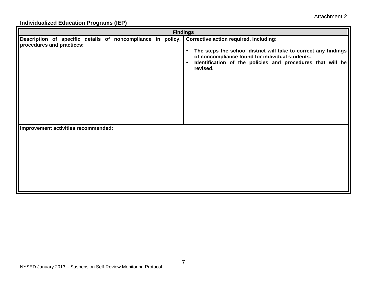## **Individualized Education Programs (IEP)**

|                                                                                          | <b>Findings</b>                                                                                                                                                                                                                                                         |
|------------------------------------------------------------------------------------------|-------------------------------------------------------------------------------------------------------------------------------------------------------------------------------------------------------------------------------------------------------------------------|
| Description of specific details of noncompliance in policy,<br>procedures and practices: | <b>Corrective action required, including:</b><br>The steps the school district will take to correct any findings<br>$\bullet$<br>of noncompliance found for individual students.<br>Identification of the policies and procedures that will be<br>$\bullet$<br>revised. |
| Improvement activities recommended:                                                      |                                                                                                                                                                                                                                                                         |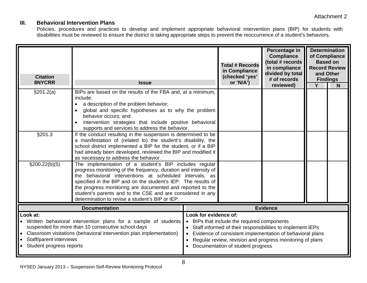## **III. Behavioral Intervention Plans**

Policies, procedures and practices to develop and implement appropriate behavioral intervention plans (BIP) for students with disabilities must be reviewed to ensure the district is taking appropriate steps to prevent the reoccurrence of a student's behaviors.

| <b>Citation</b><br>8NYCRR                                                                                                                                                                                                                                                                  | <b>Issue</b>                                                                                                                                                                                                                                                                                                                                                                                                                         |                                    | <b>Total # Records</b><br>in Compliance<br>(checked 'yes'<br>or 'N/A')                                                                                                                                                                                                 | Percentage in<br><b>Compliance</b><br>(total # records<br>in compliance<br>divided by total<br># of records<br>reviewed) | <b>Based on</b><br>and Other<br>Y | <b>Determination</b><br>of Compliance<br><b>Record Review</b><br><b>Findings</b><br>N |
|--------------------------------------------------------------------------------------------------------------------------------------------------------------------------------------------------------------------------------------------------------------------------------------------|--------------------------------------------------------------------------------------------------------------------------------------------------------------------------------------------------------------------------------------------------------------------------------------------------------------------------------------------------------------------------------------------------------------------------------------|------------------------------------|------------------------------------------------------------------------------------------------------------------------------------------------------------------------------------------------------------------------------------------------------------------------|--------------------------------------------------------------------------------------------------------------------------|-----------------------------------|---------------------------------------------------------------------------------------|
| §201.2(a)                                                                                                                                                                                                                                                                                  | BIPs are based on the results of the FBA and, at a minimum,<br>include:<br>a description of the problem behavior;<br>global and specific hypotheses as to why the problem<br>behavior occurs; and<br>intervention strategies that include positive behavioral<br>supports and services to address the behavior.                                                                                                                      |                                    |                                                                                                                                                                                                                                                                        |                                                                                                                          |                                   |                                                                                       |
| §201.3                                                                                                                                                                                                                                                                                     | If the conduct resulting in the suspension is determined to be<br>a manifestation of (related to) the student's disability, the<br>school district implemented a BIP for the student, or if a BIP<br>had already been developed, reviewed the BIP and modified it<br>as necessary to address the behavior.                                                                                                                           |                                    |                                                                                                                                                                                                                                                                        |                                                                                                                          |                                   |                                                                                       |
| $\S200.22(b)(5)$                                                                                                                                                                                                                                                                           | The implementation of a student's BIP includes regular<br>progress monitoring of the frequency, duration and intensity of<br>the behavioral interventions at scheduled intervals, as<br>specified in the BIP and on the student's IEP. The results of<br>the progress monitoring are documented and reported to the<br>student's parents and to the CSE and are considered in any<br>determination to revise a student's BIP or IEP. |                                    |                                                                                                                                                                                                                                                                        |                                                                                                                          |                                   |                                                                                       |
| <b>Documentation</b>                                                                                                                                                                                                                                                                       |                                                                                                                                                                                                                                                                                                                                                                                                                                      | <b>Evidence</b>                    |                                                                                                                                                                                                                                                                        |                                                                                                                          |                                   |                                                                                       |
| Look at:<br>• Written behavioral intervention plans for a sample of students<br>suspended for more than 10 consecutive school days<br>Classroom visitations (behavioral intervention plan implementation)<br>$\bullet$<br>Staff/parent interviews<br>Student progress reports<br>$\bullet$ |                                                                                                                                                                                                                                                                                                                                                                                                                                      | Look for evidence of:<br>$\bullet$ | BIPs that include the required components<br>Staff informed of their responsibilities to implement IEPs<br>Evidence of consistent implementation of behavioral plans<br>Regular review, revision and progress monitoring of plans<br>Documentation of student progress |                                                                                                                          |                                   |                                                                                       |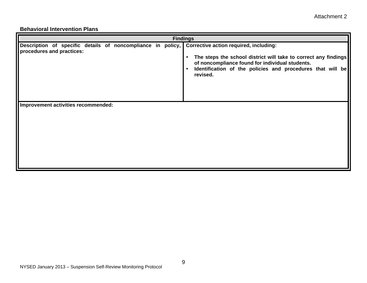#### **Behavioral Intervention Plans**

|                                                                                                                                 | <b>Findings</b>                                                                                                                                                                                                        |
|---------------------------------------------------------------------------------------------------------------------------------|------------------------------------------------------------------------------------------------------------------------------------------------------------------------------------------------------------------------|
| Description of specific details of noncompliance in policy, Corrective action required, including:<br>procedures and practices: | The steps the school district will take to correct any findings<br>$\bullet$<br>of noncompliance found for individual students.<br>Identification of the policies and procedures that will be<br>$\bullet$<br>revised. |
| Improvement activities recommended:                                                                                             |                                                                                                                                                                                                                        |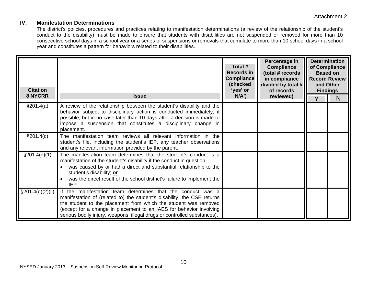### **IV. Manifestation Determinations**

The district's policies, procedures and practices relating to manifestation determinations (a review of the relationship of the student's conduct to the disability) must be made to ensure that students with disabilities are not suspended or removed for more than 10 consecutive school days in a school year or a series of suspensions or removals that cumulate to more than 10 school days in a school year and constitutes a pattern for behaviors related to their disabilities.

| <b>Citation</b><br><b>8 NYCRR</b> | <b>Issue</b>                                                                                                                                                                                                                                                                                                                                                 | Total #<br><b>Records in</b><br><b>Compliance</b><br>(checked<br>'yes' or<br>'N/A') | Percentage in<br><b>Compliance</b><br>(total # records<br>in compliance<br>divided by total $#$<br>of records<br>reviewed) | and Other | <b>Determination</b><br>of Compliance<br><b>Based on</b><br><b>Record Review</b><br><b>Findings</b><br>N |
|-----------------------------------|--------------------------------------------------------------------------------------------------------------------------------------------------------------------------------------------------------------------------------------------------------------------------------------------------------------------------------------------------------------|-------------------------------------------------------------------------------------|----------------------------------------------------------------------------------------------------------------------------|-----------|----------------------------------------------------------------------------------------------------------|
| \$201.4(a)                        | A review of the relationship between the student's disability and the<br>behavior subject to disciplinary action is conducted immediately, if<br>possible, but in no case later than 10 days after a decision is made to<br>impose a suspension that constitutes a disciplinary change in<br>placement.                                                      |                                                                                     |                                                                                                                            |           |                                                                                                          |
| §201.4(c)                         | The manifestation team reviews all relevant information in the<br>student's file, including the student's IEP, any teacher observations<br>and any relevant information provided by the parent.                                                                                                                                                              |                                                                                     |                                                                                                                            |           |                                                                                                          |
| $\S201.4(d)(1)$                   | The manifestation team determines that the student's conduct is a<br>manifestation of the student's disability if the conduct in question:<br>was caused by or had a direct and substantial relationship to the<br>student's disability; or<br>was the direct result of the school district's failure to implement the<br>IEP.                               |                                                                                     |                                                                                                                            |           |                                                                                                          |
| $\S201.4(d)(2)(ii)$               | If the manifestation team determines that the conduct was a<br>manifestation of (related to) the student's disability, the CSE returns<br>the student to the placement from which the student was removed<br>(except for a change in placement to an IAES for behavior involving<br>serious bodily injury, weapons, illegal drugs or controlled substances). |                                                                                     |                                                                                                                            |           |                                                                                                          |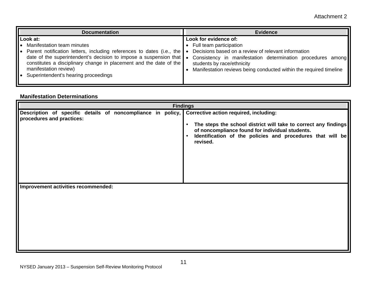| <b>Documentation</b>                                                                                                                                                                                                                                                                                                                                      | <b>Evidence</b>                                                                                                                                                                                                                                                                           |
|-----------------------------------------------------------------------------------------------------------------------------------------------------------------------------------------------------------------------------------------------------------------------------------------------------------------------------------------------------------|-------------------------------------------------------------------------------------------------------------------------------------------------------------------------------------------------------------------------------------------------------------------------------------------|
| Look at:<br><b>Manifestation team minutes</b><br>Parent notification letters, including references to dates (i.e., the<br>$\bullet$<br>date of the superintendent's decision to impose a suspension that $\bullet$<br>constitutes a disciplinary change in placement and the date of the<br>manifestation review)<br>Superintendent's hearing proceedings | Look for evidence of:<br>• Full team participation<br>Decisions based on a review of relevant information<br>$\bullet$<br>Consistency in manifestation determination procedures among<br>students by race/ethnicity<br>Manifestation reviews being conducted within the required timeline |

#### **Manifestation Determinations**

|                                                                                          | <b>Findings</b>                                                                                                                                                                                                                                                         |
|------------------------------------------------------------------------------------------|-------------------------------------------------------------------------------------------------------------------------------------------------------------------------------------------------------------------------------------------------------------------------|
| Description of specific details of noncompliance in policy,<br>procedures and practices: | <b>Corrective action required, including:</b><br>The steps the school district will take to correct any findings<br>$\bullet$<br>of noncompliance found for individual students.<br>Identification of the policies and procedures that will be<br>$\bullet$<br>revised. |
| Improvement activities recommended:                                                      |                                                                                                                                                                                                                                                                         |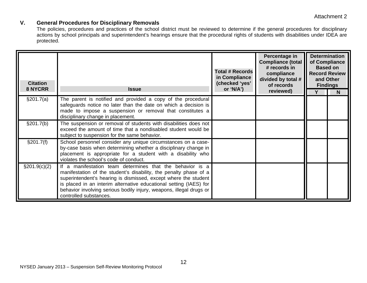## **V. General Procedures for Disciplinary Removals**

The policies, procedures and practices of the school district must be reviewed to determine if the general procedures for disciplinary actions by school principals and superintendent's hearings ensure that the procedural rights of students with disabilities under IDEA are protected.

| <b>Citation</b><br>8 NYCRR | <b>Issue</b>                                                                                                                                                                                                                                                                                                                                                             | <b>Total # Records</b><br>in Compliance<br>(checked 'yes'<br>or 'N/A') | Percentage in<br><b>Compliance (total</b><br># records in<br>compliance<br>divided by total #<br>of records<br>reviewed) | <b>Determination</b><br>of Compliance<br><b>Based on</b><br><b>Record Review</b><br>and Other<br><b>Findings</b><br>N |
|----------------------------|--------------------------------------------------------------------------------------------------------------------------------------------------------------------------------------------------------------------------------------------------------------------------------------------------------------------------------------------------------------------------|------------------------------------------------------------------------|--------------------------------------------------------------------------------------------------------------------------|-----------------------------------------------------------------------------------------------------------------------|
| \$201.7(a)                 | The parent is notified and provided a copy of the procedural<br>safeguards notice no later than the date on which a decision is<br>made to impose a suspension or removal that constitutes a<br>disciplinary change in placement.                                                                                                                                        |                                                                        |                                                                                                                          |                                                                                                                       |
| §201.7(b)                  | The suspension or removal of students with disabilities does not<br>exceed the amount of time that a nondisabled student would be<br>subject to suspension for the same behavior.                                                                                                                                                                                        |                                                                        |                                                                                                                          |                                                                                                                       |
| §201.7(f)                  | School personnel consider any unique circumstances on a case-<br>by-case basis when determining whether a disciplinary change in<br>placement is appropriate for a student with a disability who<br>violates the school's code of conduct.                                                                                                                               |                                                                        |                                                                                                                          |                                                                                                                       |
| $\S 201.9(c)(2)$           | If a manifestation team determines that the behavior is a<br>manifestation of the student's disability, the penalty phase of a<br>superintendent's hearing is dismissed, except where the student<br>is placed in an interim alternative educational setting (IAES) for<br>behavior involving serious bodily injury, weapons, illegal drugs or<br>controlled substances. |                                                                        |                                                                                                                          |                                                                                                                       |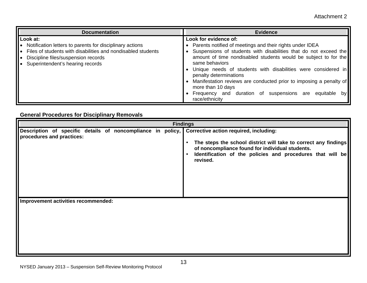| <b>Documentation</b>                                                                                                                                                                                            | <b>Evidence</b>                                                                                                                                                                                                                                                                                               |
|-----------------------------------------------------------------------------------------------------------------------------------------------------------------------------------------------------------------|---------------------------------------------------------------------------------------------------------------------------------------------------------------------------------------------------------------------------------------------------------------------------------------------------------------|
| Look at:<br>Notification letters to parents for disciplinary actions<br>Files of students with disabilities and nondisabled students<br>Discipline files/suspension records<br>Superintendent's hearing records | Look for evidence of:<br>• Parents notified of meetings and their rights under IDEA<br>Suspensions of students with disabilities that do not exceed the<br>amount of time nondisabled students would be subject to for the<br>same behaviors<br>Unique needs of students with disabilities were considered in |
|                                                                                                                                                                                                                 | penalty determinations<br>Manifestation reviews are conducted prior to imposing a penalty of<br>more than 10 days<br>Frequency and duration of suspensions are<br>equitable<br>by l<br>race/ethnicity                                                                                                         |

## **General Procedures for Disciplinary Removals**

|                                                                                          | <b>Findings</b>                                                                                                                                                                                                                                                  |
|------------------------------------------------------------------------------------------|------------------------------------------------------------------------------------------------------------------------------------------------------------------------------------------------------------------------------------------------------------------|
| Description of specific details of noncompliance in policy,<br>procedures and practices: | Corrective action required, including:<br>The steps the school district will take to correct any findings<br>$\bullet$<br>of noncompliance found for individual students.<br>Identification of the policies and procedures that will be<br>$\bullet$<br>revised. |
| Improvement activities recommended:                                                      |                                                                                                                                                                                                                                                                  |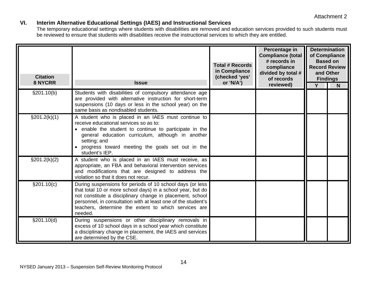## **VI. Interim Alternative Educational Settings (IAES) and Instructional Services**

The temporary educational settings where students with disabilities are removed and education services provided to such students must be reviewed to ensure that students with disabilities receive the instructional services to which they are entitled.

| <b>Citation</b><br>8 NYCRR | <b>Issue</b>                                                                                                                                                                                                                                                                                                              | <b>Total # Records</b><br>in Compliance<br>(checked 'yes'<br>or 'N/A') | Percentage in<br><b>Compliance (total</b><br># records in<br>compliance<br>divided by total #<br>of records<br>reviewed) | <b>Based on</b><br>and Other<br><b>Findings</b><br>Y | <b>Determination</b><br>of Compliance<br><b>Record Review</b><br>N |
|----------------------------|---------------------------------------------------------------------------------------------------------------------------------------------------------------------------------------------------------------------------------------------------------------------------------------------------------------------------|------------------------------------------------------------------------|--------------------------------------------------------------------------------------------------------------------------|------------------------------------------------------|--------------------------------------------------------------------|
| §201.10(b)                 | Students with disabilities of compulsory attendance age<br>are provided with alternative instruction for short-term<br>suspensions (10 days or less in the school year) on the<br>same basis as nondisabled students.                                                                                                     |                                                                        |                                                                                                                          |                                                      |                                                                    |
| $\S201.2(k)(1)$            | A student who is placed in an IAES must continue to<br>receive educational services so as to:<br>• enable the student to continue to participate in the<br>general education curriculum, although in another<br>setting; and<br>progress toward meeting the goals set out in the<br>student's IEP.                        |                                                                        |                                                                                                                          |                                                      |                                                                    |
| $\S 201.2(k)(2)$           | A student who is placed in an IAES must receive, as<br>appropriate, an FBA and behavioral intervention services<br>and modifications that are designed to address the<br>violation so that it does not recur.                                                                                                             |                                                                        |                                                                                                                          |                                                      |                                                                    |
| \$201.10(c)                | During suspensions for periods of 10 school days (or less<br>that total 10 or more school days) in a school year, but do<br>not constitute a disciplinary change in placement, school<br>personnel, in consultation with at least one of the student's<br>teachers, determine the extent to which services are<br>needed. |                                                                        |                                                                                                                          |                                                      |                                                                    |
| §201.10(d)                 | During suspensions or other disciplinary removals in<br>excess of 10 school days in a school year which constitute<br>a disciplinary change in placement, the IAES and services<br>are determined by the CSE.                                                                                                             |                                                                        |                                                                                                                          |                                                      |                                                                    |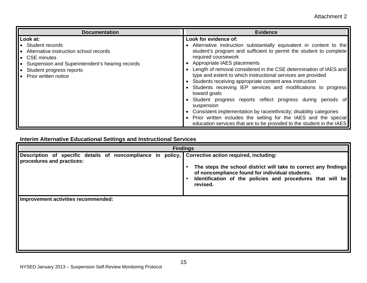| <b>Documentation</b>                                                                                                                                                                          | <b>Evidence</b>                                                                                                                                                                                                                                                                                                                                                                                                                                                                                                                                                                                                                                                                                                                                                                                               |
|-----------------------------------------------------------------------------------------------------------------------------------------------------------------------------------------------|---------------------------------------------------------------------------------------------------------------------------------------------------------------------------------------------------------------------------------------------------------------------------------------------------------------------------------------------------------------------------------------------------------------------------------------------------------------------------------------------------------------------------------------------------------------------------------------------------------------------------------------------------------------------------------------------------------------------------------------------------------------------------------------------------------------|
| Look at:<br>• Student records<br>Alternative instruction school records<br>CSE minutes<br>Suspension and Superintendent's hearing records<br>Student progress reports<br>Prior written notice | Look for evidence of:<br>• Alternative instruction substantially equivalent in content to the<br>student's program and sufficient to permit the student to complete<br>required coursework<br>Appropriate IAES placements<br>Length of removal considered in the CSE determination of IAES and<br>type and extent to which instructional services are provided<br>Students receiving appropriate content area instruction<br>• Students receiving IEP services and modifications to progress<br>toward goals<br>Student progress reports reflect progress during periods of<br>suspension<br>• Consistent implementation by race/ethnicity; disability categories<br>Prior written includes the setting for the IAES and the special<br>education services that are to be provided to the student in the IAES |

## **Interim Alternative Educational Settings and Instructional Services**

|                                                                                          | <b>Findings</b>                                                                                                                                                                                                                        |
|------------------------------------------------------------------------------------------|----------------------------------------------------------------------------------------------------------------------------------------------------------------------------------------------------------------------------------------|
| Description of specific details of noncompliance in policy,<br>procedures and practices: | Corrective action required, including:<br>The steps the school district will take to correct any findings<br>of noncompliance found for individual students.<br>Identification of the policies and procedures that will be<br>revised. |
| Inprovement activities recommended:                                                      |                                                                                                                                                                                                                                        |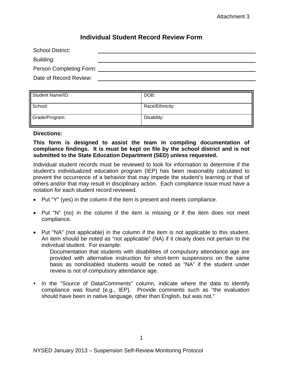## **Individual Student Record Review Form**

| <b>School District:</b> |  |
|-------------------------|--|
| Building:               |  |
| Person Completing Form: |  |
| Date of Record Review:  |  |

| Student Name/ID: | DOB:            |
|------------------|-----------------|
| School:          | Race/Ethnicity: |
| Grade/Program:   | Disability:     |

#### Directions:

#### This form is designed to assist the team in compiling documentation of **compliance findings. It is must be kept on file by the school district and is not submitted to the State Education Department (SED) unless requested.**

Individual student records must be reviewed to look for information to determine if the student's individualized education program (IEP) has been reasonably calculated to prevent the occurrence of a behavior that may impede the student's learning or that of others and/or that may result in disciplinary action. Each compliance issue must have a notation for each student record reviewed.

- Put "Y" (yes) in the column if the item is present and meets compliance.
- Put "N" (no) in the column if the item is missing or if the item does not meet compliance.
- Put "NA" (not applicable) in the column if the item is not applicable to this student. An item should be noted as "not applicable" (NA) if it clearly does not pertain to the individual student. For example:

Documentation that students with disabilities of compulsory attendance age are provided with alternative instruction for short-term suspensions on the same basis as nondisabled students would be noted as "NA" if the student under review is not of compulsory attendance age.

• In the "Source of Data/Comments" column, indicate where the data to identify compliance was found (e.g., IEP). Provide comments such as "the evaluation should have been in native language, other than English, but was not."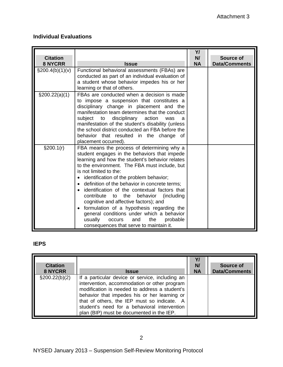## **Individual Evaluations**

| <b>Citation</b><br><b>8 NYCRR</b> | <b>Issue</b>                                                                                                                                                                                                                                                                                                                                                                                                                                                                                                                                                                                                                                      | Y/<br>N/<br><b>NA</b> | Source of<br><b>Data/Comments</b> |
|-----------------------------------|---------------------------------------------------------------------------------------------------------------------------------------------------------------------------------------------------------------------------------------------------------------------------------------------------------------------------------------------------------------------------------------------------------------------------------------------------------------------------------------------------------------------------------------------------------------------------------------------------------------------------------------------------|-----------------------|-----------------------------------|
| $\S200.4(b)(1)(v)$                | Functional behavioral assessments (FBAs) are<br>conducted as part of an individual evaluation of<br>a student whose behavior impedes his or her<br>learning or that of others.                                                                                                                                                                                                                                                                                                                                                                                                                                                                    |                       |                                   |
| \$200.22(a)(1)                    | FBAs are conducted when a decision is made<br>to impose a suspension that constitutes a<br>disciplinary change in placement and the<br>manifestation team determines that the conduct<br>subject<br>disciplinary action<br>to<br>a<br>was<br>manifestation of the student's disability (unless<br>the school district conducted an FBA before the<br>behavior that resulted in the change<br>οf<br>placement occurred).                                                                                                                                                                                                                           |                       |                                   |
| §200.1(r)                         | FBA means the process of determining why a<br>student engages in the behaviors that impede<br>learning and how the student's behavior relates<br>to the environment. The FBA must include, but<br>is not limited to the:<br>identification of the problem behavior;<br>definition of the behavior in concrete terms;<br>identification of the contextual factors that<br>contribute to the<br>behavior<br>(including<br>cognitive and affective factors); and<br>formulation of a hypothesis regarding the<br>general conditions under which a behavior<br>usually<br>the<br>probable<br>and<br>occurs<br>consequences that serve to maintain it. |                       |                                   |

## **IEPS**

| <b>Citation</b>  | <b>Issue</b>                                                                                                                                                                                                                                                                                                                                 | N/        | Source of            |
|------------------|----------------------------------------------------------------------------------------------------------------------------------------------------------------------------------------------------------------------------------------------------------------------------------------------------------------------------------------------|-----------|----------------------|
| <b>8 NYCRR</b>   |                                                                                                                                                                                                                                                                                                                                              | <b>NA</b> | <b>Data/Comments</b> |
| $\S200.22(b)(2)$ | If a particular device or service, including an<br>intervention, accommodation or other program<br>modification is needed to address a student's<br>behavior that impedes his or her learning or<br>that of others, the IEP must so indicate. A<br>student's need for a behavioral intervention<br>plan (BIP) must be documented in the IEP. |           |                      |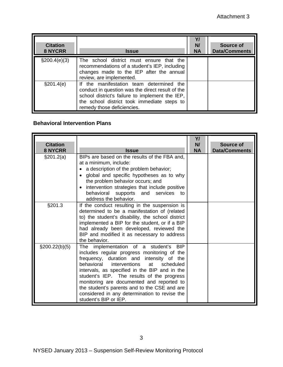| <b>Citation</b><br><b>8 NYCRR</b> | <b>Issue</b>                                                                                                                                                                                                                 | Y/<br>N/<br><b>NA</b> | Source of<br><b>Data/Comments</b> |
|-----------------------------------|------------------------------------------------------------------------------------------------------------------------------------------------------------------------------------------------------------------------------|-----------------------|-----------------------------------|
| §200.4(e)(3)                      | The school district must ensure that the<br>recommendations of a student's IEP, including<br>changes made to the IEP after the annual<br>review, are implemented.                                                            |                       |                                   |
| §201.4(e)                         | If the manifestation team determined the<br>conduct in question was the direct result of the<br>school district's failure to implement the IEP,<br>the school district took immediate steps to<br>remedy those deficiencies. |                       |                                   |

## **Behavioral Intervention Plans**

| <b>Citation</b><br><b>8 NYCRR</b> | <b>Issue</b>                                                                                                                                                                                                                                                                                                                                                                                                                                              | Y/<br>N/<br><b>NA</b> | Source of<br><b>Data/Comments</b> |
|-----------------------------------|-----------------------------------------------------------------------------------------------------------------------------------------------------------------------------------------------------------------------------------------------------------------------------------------------------------------------------------------------------------------------------------------------------------------------------------------------------------|-----------------------|-----------------------------------|
| \$201.2(a)                        | BIPs are based on the results of the FBA and,<br>at a minimum, include:<br>a description of the problem behavior;<br>global and specific hypotheses as to why<br>the problem behavior occurs; and<br>intervention strategies that include positive<br>behavioral supports and<br>services<br>to<br>address the behavior.                                                                                                                                  |                       |                                   |
| §201.3                            | If the conduct resulting in the suspension is<br>determined to be a manifestation of (related<br>to) the student's disability, the school district<br>implemented a BIP for the student, or if a BIP<br>had already been developed, reviewed the<br>BIP and modified it as necessary to address<br>the behavior.                                                                                                                                          |                       |                                   |
| $\S200.22(b)(5)$                  | The implementation of a student's<br><b>BIP</b><br>includes regular progress monitoring of the<br>frequency, duration and intensity of the<br>behavioral interventions at scheduled<br>intervals, as specified in the BIP and in the<br>student's IEP. The results of the progress<br>monitoring are documented and reported to<br>the student's parents and to the CSE and are<br>considered in any determination to revise the<br>student's BIP or IEP. |                       |                                   |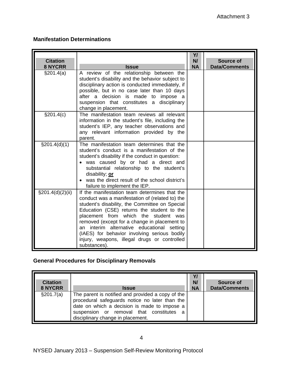## **Manifestation Determinations**

| <b>Citation</b>               |                                                                                                                                                                                                                                                                                                                                                                                                                                                        | YI<br>N/  | <b>Source of</b>     |
|-------------------------------|--------------------------------------------------------------------------------------------------------------------------------------------------------------------------------------------------------------------------------------------------------------------------------------------------------------------------------------------------------------------------------------------------------------------------------------------------------|-----------|----------------------|
| <b>8 NYCRR</b>                | <b>Issue</b>                                                                                                                                                                                                                                                                                                                                                                                                                                           | <b>NA</b> | <b>Data/Comments</b> |
| §201.4(a)                     | A review of the relationship between the<br>student's disability and the behavior subject to<br>disciplinary action is conducted immediately, if<br>possible, but in no case later than 10 days<br>after a decision is made to impose a<br>suspension that constitutes a disciplinary<br>change in placement.                                                                                                                                          |           |                      |
| $\sqrt{\frac{2}{9}}$ 201.4(c) | The manifestation team reviews all relevant<br>information in the student's file, including the<br>student's IEP, any teacher observations and<br>any relevant information provided by the<br>parent.                                                                                                                                                                                                                                                  |           |                      |
| $\S201.4(d)(1)$               | The manifestation team determines that the<br>student's conduct is a manifestation of the<br>student's disability if the conduct in question:<br>was caused by or had a direct and<br>substantial relationship to the student's<br>disability; or<br>was the direct result of the school district's<br>failure to implement the IEP.                                                                                                                   |           |                      |
| $\S201.4(d)(2)(ii)$           | If the manifestation team determines that the<br>conduct was a manifestation of (related to) the<br>student's disability, the Committee on Special<br>Education (CSE) returns the student to the<br>placement from which the student was<br>removed (except for a change in placement to<br>an interim alternative educational setting<br>(IAES) for behavior involving serious bodily<br>injury, weapons, illegal drugs or controlled<br>substances). |           |                      |

## **General Procedures for Disciplinary Removals**

| <b>Citation</b><br>8 NYCRR | <b>Issue</b>                                                                                                                                                                                                                         | Y/<br>N/<br><b>NA</b> | Source of<br><b>Data/Comments</b> |
|----------------------------|--------------------------------------------------------------------------------------------------------------------------------------------------------------------------------------------------------------------------------------|-----------------------|-----------------------------------|
| \$201.7(a)                 | The parent is notified and provided a copy of the<br>procedural safeguards notice no later than the<br>date on which a decision is made to impose a<br>suspension or removal that constitutes a<br>disciplinary change in placement. |                       |                                   |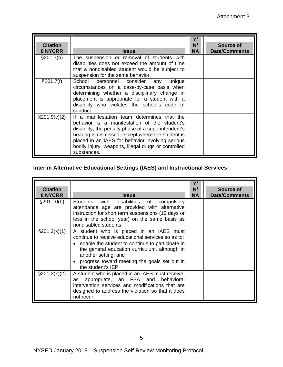| <b>Citation</b><br><b>8 NYCRR</b> | <b>Issue</b>                                                                                                                                                                                                                                                                                                                      | YI<br>N/<br><b>NA</b> | Source of<br><b>Data/Comments</b> |
|-----------------------------------|-----------------------------------------------------------------------------------------------------------------------------------------------------------------------------------------------------------------------------------------------------------------------------------------------------------------------------------|-----------------------|-----------------------------------|
| §201.7(b)                         | The suspension or removal of students with<br>disabilities does not exceed the amount of time<br>that a nondisabled student would be subject to<br>suspension for the same behavior.                                                                                                                                              |                       |                                   |
| §201.7(f)                         | School personnel consider any unique<br>circumstances on a case-by-case basis when<br>determining whether a disciplinary change in<br>placement is appropriate for a student with a<br>disability who violates the school's code of<br>conduct.                                                                                   |                       |                                   |
| $\S 201.9(c)(2)$                  | If a manifestation team determines that the<br>behavior is a manifestation of the student's<br>disability, the penalty phase of a superintendent's<br>hearing is dismissed, except where the student is<br>placed in an IAES for behavior involving serious<br>bodily injury, weapons, illegal drugs or controlled<br>substances. |                       |                                   |

## **Interim Alternative Educational Settings (IAES) and Instructional Services**

| <b>Citation</b><br><b>8 NYCRR</b> | <b>Issue</b>                                                                                                                                                                                                                                                                                         | Y/<br>N/<br><b>NA</b> | <b>Source of</b><br><b>Data/Comments</b> |
|-----------------------------------|------------------------------------------------------------------------------------------------------------------------------------------------------------------------------------------------------------------------------------------------------------------------------------------------------|-----------------------|------------------------------------------|
| §201.10(b)                        | Students with disabilities of<br>compulsory<br>attendance age are provided with alternative<br>instruction for short term suspensions (10 days or<br>less in the school year) on the same basis as<br>nondisabled students.                                                                          |                       |                                          |
| $\S 201.2(k)(1)$                  | A student who is placed in an IAES must<br>continue to receive educational services so as to:<br>• enable the student to continue to participate in<br>the general education curriculum, although in<br>another setting; and<br>• progress toward meeting the goals set out in<br>the student's IEP. |                       |                                          |
| $\S 201.2(k)(2)$                  | A student who is placed in an IAES must receive,<br>appropriate, an FBA and behavioral<br>as<br>intervention services and modifications that are<br>designed to address the violation so that it does<br>not recur.                                                                                  |                       |                                          |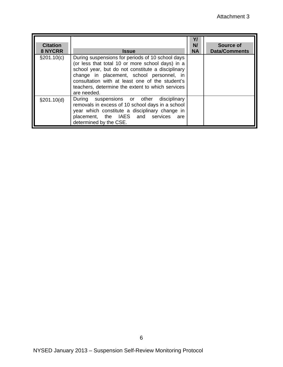| <b>Citation</b><br><b>8 NYCRR</b> | <b>Issue</b>                                                                                                                                                                                                                                                                                                                 | N/<br><b>NA</b> | Source of<br><b>Data/Comments</b> |
|-----------------------------------|------------------------------------------------------------------------------------------------------------------------------------------------------------------------------------------------------------------------------------------------------------------------------------------------------------------------------|-----------------|-----------------------------------|
| $\S 201.10(c)$                    | During suspensions for periods of 10 school days<br>(or less that total 10 or more school days) in a<br>school year, but do not constitute a disciplinary<br>change in placement, school personnel, in<br>consultation with at least one of the student's<br>teachers, determine the extent to which services<br>are needed. |                 |                                   |
| \$201.10(d)                       | During suspensions or other disciplinary<br>removals in excess of 10 school days in a school<br>year which constitute a disciplinary change in<br>placement, the IAES and services<br>are<br>determined by the CSE.                                                                                                          |                 |                                   |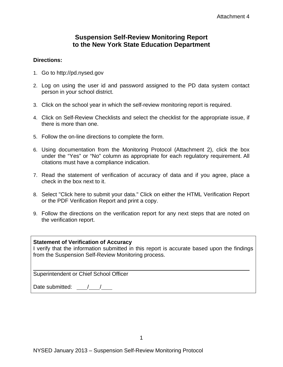## **Suspension Self-Review Monitoring Report to the New York State Education Department**

#### **Directions:**

- 1. Go to http://pd.nysed.gov
- 2. Log on using the user id and password assigned to the PD data system contact person in your school district.
- 3. Click on the school year in which the self-review monitoring report is required.
- 4. Click on Self-Review Checklists and select the checklist for the appropriate issue, if there is more than one.
- 5. Follow the on-line directions to complete the form.
- 6. Using documentation from the Monitoring Protocol (Attachment 2), click the box under the "Yes" or "No" column as appropriate for each regulatory requirement. All citations must have a compliance indication.
- 7. Read the statement of verification of accuracy of data and if you agree, place a check in the box next to it.
- 8. Select "Click here to submit your data." Click on either the HTML Verification Report or the PDF Verification Report and print a copy.
- 9. Follow the directions on the verification report for any next steps that are noted on the verification report.

### **Statement of Verification of Accuracy**

I verify that the information submitted in this report is accurate based upon the findings from the Suspension Self-Review Monitoring process.

Superintendent or Chief School Officer

Date submitted:  $\frac{\sqrt{1-\frac{1}{2}}}{\sqrt{1-\frac{1}{2}}}$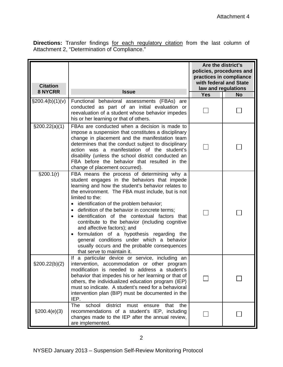**Directions:** Transfer findings for each regulatory citation from the last column of Attachment 2, "Determination of Compliance."

| <b>Citation</b><br><b>8 NYCRR</b> | <b>Issue</b>                                                                                                                                                                                                                                                                                                                                                                                                                                                                                                                                                                                                                    | Are the district's<br>policies, procedures and<br>practices in compliance<br>with federal and State<br>law and regulations |           |  |
|-----------------------------------|---------------------------------------------------------------------------------------------------------------------------------------------------------------------------------------------------------------------------------------------------------------------------------------------------------------------------------------------------------------------------------------------------------------------------------------------------------------------------------------------------------------------------------------------------------------------------------------------------------------------------------|----------------------------------------------------------------------------------------------------------------------------|-----------|--|
| \$200.4(b)(1)(v)                  | Functional behavioral assessments (FBAs) are                                                                                                                                                                                                                                                                                                                                                                                                                                                                                                                                                                                    | <b>Yes</b>                                                                                                                 | <b>No</b> |  |
|                                   | conducted as part of an initial evaluation or<br>reevaluation of a student whose behavior impedes<br>his or her learning or that of others.                                                                                                                                                                                                                                                                                                                                                                                                                                                                                     |                                                                                                                            |           |  |
| \$200.22(a)(1)                    | FBAs are conducted when a decision is made to<br>impose a suspension that constitutes a disciplinary<br>change in placement and the manifestation team<br>determines that the conduct subject to disciplinary<br>action was a manifestation of the student's<br>disability (unless the school district conducted an<br>FBA before the behavior that resulted in the<br>change of placement occurred).                                                                                                                                                                                                                           |                                                                                                                            |           |  |
| §200.1(r)                         | FBA means the process of determining why a<br>student engages in the behaviors that impede<br>learning and how the student's behavior relates to<br>the environment. The FBA must include, but is not<br>limited to the:<br>identification of the problem behavior;<br>definition of the behavior in concrete terms;<br>identification of the contextual factors that<br>contribute to the behavior (including cognitive<br>and affective factors); and<br>formulation of a hypothesis regarding the<br>general conditions under which a behavior<br>usually occurs and the probable consequences<br>that serve to maintain it. |                                                                                                                            |           |  |
| $\S200.22(b)(2)$                  | If a particular device or service, including an<br>intervention, accommodation or other program<br>modification is needed to address a student's<br>behavior that impedes his or her learning or that of<br>others, the individualized education program (IEP)<br>must so indicate. A student's need for a behavioral<br>intervention plan (BIP) must be documented in the<br>IEP.                                                                                                                                                                                                                                              |                                                                                                                            |           |  |
| \$200.4(e)(3)                     | district<br>The<br>school<br>must<br>that<br>the<br>ensure<br>recommendations of a student's IEP, including<br>changes made to the IEP after the annual review,<br>are implemented.                                                                                                                                                                                                                                                                                                                                                                                                                                             |                                                                                                                            |           |  |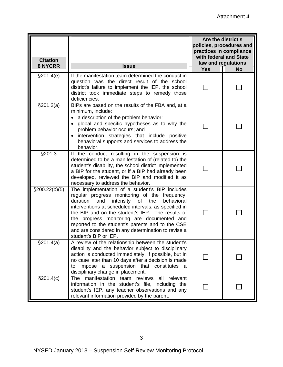| <b>Citation</b>  |                                                                                                                                                                                                                                                                                                                                                                                                                                                        | Are the district's<br>policies, procedures and<br>practices in compliance<br>with federal and State<br>law and regulations |           |  |  |
|------------------|--------------------------------------------------------------------------------------------------------------------------------------------------------------------------------------------------------------------------------------------------------------------------------------------------------------------------------------------------------------------------------------------------------------------------------------------------------|----------------------------------------------------------------------------------------------------------------------------|-----------|--|--|
| <b>8 NYCRR</b>   | <b>Issue</b>                                                                                                                                                                                                                                                                                                                                                                                                                                           | <b>Yes</b>                                                                                                                 | <b>No</b> |  |  |
| \$201.4(e)       | If the manifestation team determined the conduct in<br>question was the direct result of the school<br>district's failure to implement the IEP, the school<br>district took immediate steps to remedy those<br>deficiencies.                                                                                                                                                                                                                           |                                                                                                                            |           |  |  |
| §201.2(a)        | BIPs are based on the results of the FBA and, at a<br>minimum, include:<br>a description of the problem behavior;<br>global and specific hypotheses as to why the<br>problem behavior occurs; and<br>intervention strategies that include positive<br>behavioral supports and services to address the<br>behavior.                                                                                                                                     |                                                                                                                            |           |  |  |
| §201.3           | If the conduct resulting in the suspension is<br>determined to be a manifestation of (related to) the<br>student's disability, the school district implemented<br>a BIP for the student, or if a BIP had already been<br>developed, reviewed the BIP and modified it as<br>necessary to address the behavior.                                                                                                                                          |                                                                                                                            |           |  |  |
| $\S200.22(b)(5)$ | The implementation of a student's BIP includes<br>regular progress monitoring of the frequency,<br>duration<br>intensity of<br>the<br>and<br>behavioral<br>interventions at scheduled intervals, as specified in<br>the BIP and on the student's IEP. The results of<br>the progress monitoring are documented and<br>reported to the student's parents and to the CSE<br>and are considered in any determination to revise a<br>student's BIP or IEP. |                                                                                                                            |           |  |  |
| §201.4(a)        | A review of the relationship between the student's<br>disability and the behavior subject to disciplinary<br>action is conducted immediately, if possible, but in<br>no case later than 10 days after a decision is made<br>impose a suspension that constitutes<br>to<br>disciplinary change in placement.                                                                                                                                            |                                                                                                                            |           |  |  |
| §201.4(c)        | manifestation team reviews<br>relevant<br>The<br>all<br>information in the student's file, including the<br>student's IEP, any teacher observations and any<br>relevant information provided by the parent.                                                                                                                                                                                                                                            |                                                                                                                            |           |  |  |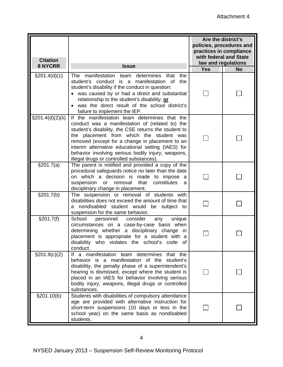| <b>Citation</b><br><b>8 NYCRR</b> | <b>Issue</b>                                                                                                                                                                                                                                                                                                                                                                                                    | Are the district's<br>policies, procedures and<br>practices in compliance<br>with federal and State<br>law and regulations |           |  |
|-----------------------------------|-----------------------------------------------------------------------------------------------------------------------------------------------------------------------------------------------------------------------------------------------------------------------------------------------------------------------------------------------------------------------------------------------------------------|----------------------------------------------------------------------------------------------------------------------------|-----------|--|
|                                   |                                                                                                                                                                                                                                                                                                                                                                                                                 | <b>Yes</b>                                                                                                                 | <b>No</b> |  |
| $\S201.4(d)(1)$                   | manifestation team determines that<br>the<br>The<br>student's conduct is a manifestation of the<br>student's disability if the conduct in question:<br>was caused by or had a direct and substantial<br>relationship to the student's disability; or<br>was the direct result of the school district's<br>failure to implement the IEP.                                                                         |                                                                                                                            |           |  |
| $\S 201.4(d)(2)(ii)$              | If the manifestation team determines that the<br>conduct was a manifestation of (related to) the<br>student's disability, the CSE returns the student to<br>the placement from which the student was<br>removed (except for a change in placement to an<br>interim alternative educational setting (IAES) for<br>behavior involving serious bodily injury, weapons,<br>illegal drugs or controlled substances). |                                                                                                                            |           |  |
| \$201.7(a)                        | The parent is notified and provided a copy of the<br>procedural safeguards notice no later than the date<br>on which a decision is made to impose<br>- a<br>that<br>removal<br>constitutes<br>suspension<br>or<br>a<br>disciplinary change in placement.                                                                                                                                                        |                                                                                                                            |           |  |
| §201.7(b)                         | The suspension or removal of students with<br>disabilities does not exceed the amount of time that<br>a nondisabled student would be subject to<br>suspension for the same behavior.                                                                                                                                                                                                                            |                                                                                                                            |           |  |
| §201.7(f)                         | School<br>unique<br>personnel consider<br>any<br>circumstances on a case-by-case basis when<br>determining whether a disciplinary change in<br>placement is appropriate for a student with a<br>disability who violates the school's code of<br>conduct.                                                                                                                                                        |                                                                                                                            |           |  |
| $\S 201.9(c)(2)$                  | If a manifestation team determines that the<br>behavior is a manifestation of the student's<br>disability, the penalty phase of a superintendent's<br>hearing is dismissed, except where the student is<br>placed in an IAES for behavior involving serious<br>bodily injury, weapons, illegal drugs or controlled<br>substances.                                                                               |                                                                                                                            |           |  |
| §201.10(b)                        | Students with disabilities of compulsory attendance<br>age are provided with alternative instruction for<br>short-term suspensions (10 days or less in the<br>school year) on the same basis as nondisabled<br>students.                                                                                                                                                                                        |                                                                                                                            |           |  |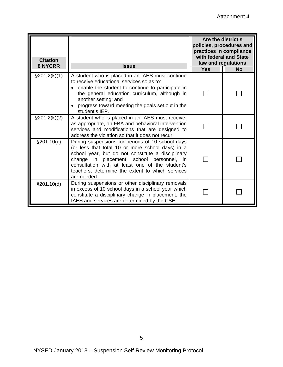| <b>Citation</b><br><b>8 NYCRR</b> | <b>Issue</b>                                                                                                                                                                                                                                                                                                                           | Are the district's<br>policies, procedures and<br>practices in compliance<br>with federal and State<br>law and regulations |  |  |
|-----------------------------------|----------------------------------------------------------------------------------------------------------------------------------------------------------------------------------------------------------------------------------------------------------------------------------------------------------------------------------------|----------------------------------------------------------------------------------------------------------------------------|--|--|
|                                   |                                                                                                                                                                                                                                                                                                                                        |                                                                                                                            |  |  |
| $\S 201.2(k)(1)$                  | A student who is placed in an IAES must continue<br>to receive educational services so as to:<br>enable the student to continue to participate in<br>the general education curriculum, although in<br>another setting; and<br>progress toward meeting the goals set out in the<br>student's IEP.                                       |                                                                                                                            |  |  |
| $\S201.2(k)(2)$                   | A student who is placed in an IAES must receive,<br>as appropriate, an FBA and behavioral intervention<br>services and modifications that are designed to<br>address the violation so that it does not recur.                                                                                                                          |                                                                                                                            |  |  |
| §201.10(c)                        | During suspensions for periods of 10 school days<br>(or less that total 10 or more school days) in a<br>school year, but do not constitute a disciplinary<br>change in placement, school personnel,<br><i>in</i><br>consultation with at least one of the student's<br>teachers, determine the extent to which services<br>are needed. |                                                                                                                            |  |  |
| §201.10(d)                        | During suspensions or other disciplinary removals<br>in excess of 10 school days in a school year which<br>constitute a disciplinary change in placement, the<br>IAES and services are determined by the CSE.                                                                                                                          |                                                                                                                            |  |  |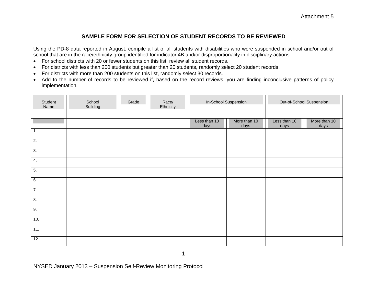#### **SAMPLE FORM FOR SELECTION OF STUDENT RECORDS TO BE REVIEWED**

Using the PD-8 data reported in August, compile a list of all students with disabilities who were suspended in school and/or out of school that are in the race/ethnicity group identified for indicator 4B and/or disproportionality in disciplinary actions.

- For school districts with 20 or fewer students on this list, review all student records.
- For districts with less than 200 students but greater than 20 students, randomly select 20 student records.
- •For districts with more than 200 students on this list, randomly select 30 records.
- Add to the number of records to be reviewed if, based on the record reviews, you are finding inconclusive patterns of policy implementation.

| Student<br>Name  | School<br><b>Building</b> | Grade | Race/<br>Ethnicity | In-School Suspension |                      | Out-of-School Suspension |                      |
|------------------|---------------------------|-------|--------------------|----------------------|----------------------|--------------------------|----------------------|
|                  |                           |       |                    | Less than 10<br>days | More than 10<br>days | Less than 10<br>days     | More than 10<br>days |
| $\overline{1}$ . |                           |       |                    |                      |                      |                          |                      |
| $\overline{2}$ . |                           |       |                    |                      |                      |                          |                      |
| $\overline{3}$ . |                           |       |                    |                      |                      |                          |                      |
| $\overline{4}$ . |                           |       |                    |                      |                      |                          |                      |
| $\overline{5}$ . |                           |       |                    |                      |                      |                          |                      |
| 6.               |                           |       |                    |                      |                      |                          |                      |
| 7.               |                           |       |                    |                      |                      |                          |                      |
| $\overline{8}$ . |                           |       |                    |                      |                      |                          |                      |
| 9.               |                           |       |                    |                      |                      |                          |                      |
| 10.              |                           |       |                    |                      |                      |                          |                      |
| 11.              |                           |       |                    |                      |                      |                          |                      |
| 12.              |                           |       |                    |                      |                      |                          |                      |

NYSED January 2013 – Suspension Self-Review Monitoring Protocol